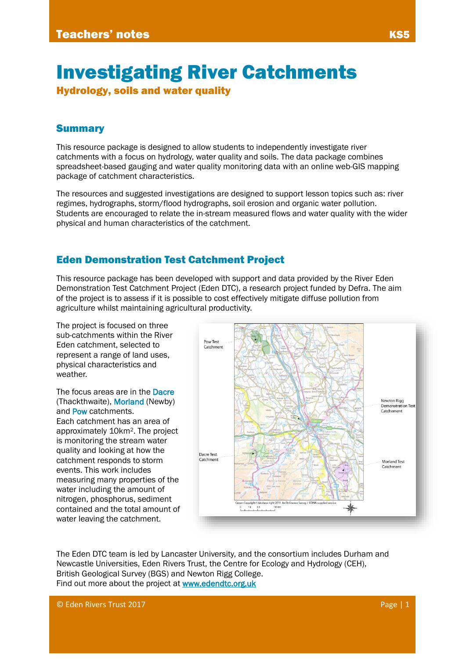# Investigating River Catchments

Hydrology, soils and water quality

#### Summary

This resource package is designed to allow students to independently investigate river catchments with a focus on hydrology, water quality and soils. The data package combines spreadsheet-based gauging and water quality monitoring data with an online web-GIS mapping package of catchment characteristics.

The resources and suggested investigations are designed to support lesson topics such as: river regimes, hydrographs, storm/flood hydrographs, soil erosion and organic water pollution. Students are encouraged to relate the in-stream measured flows and water quality with the wider physical and human characteristics of the catchment.

# Eden Demonstration Test Catchment Project

This resource package has been developed with support and data provided by the River Eden Demonstration Test Catchment Project (Eden DTC), a research project funded by Defra. The aim of the project is to assess if it is possible to cost effectively mitigate diffuse pollution from agriculture whilst maintaining agricultural productivity.

The project is focused on three sub-catchments within the River Eden catchment, selected to represent a range of land uses, physical characteristics and weather.

The focus areas are in the Dacre (Thackthwaite), Morland (Newby) and Pow catchments. Each catchment has an area of approximately 10km2. The project is monitoring the stream water quality and looking at how the catchment responds to storm events. This work includes measuring many properties of the water including the amount of nitrogen, phosphorus, sediment contained and the total amount of water leaving the catchment.



The Eden DTC team is led by Lancaster University, and the consortium includes Durham and Newcastle Universities, Eden Rivers Trust, the Centre for Ecology and Hydrology (CEH), British Geological Survey (BGS) and Newton Rigg College. Find out more about the project at **www.edendtc.org.uk**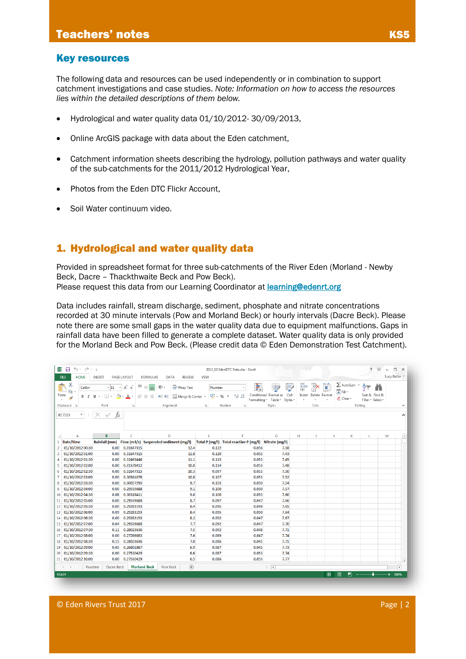#### Key resources

The following data and resources can be used independently or in combination to support catchment investigations and case studies. *Note: Information on how to access the resources lies within the detailed descriptions of them below.*

- Hydrological and water quality data 01/10/2012- 30/09/2013,
- Online ArcGIS package with data about the Eden catchment,
- Catchment information sheets describing the hydrology, pollution pathways and water quality of the sub-catchments for the 2011/2012 Hydrological Year,
- Photos from the Eden DTC Flickr Account,
- Soil Water continuum video.

# 1. Hydrological and water quality data

Provided in spreadsheet format for three sub-catchments of the River Eden (Morland - Newby Beck, Dacre – Thackthwaite Beck and Pow Beck). Please request this data from our Learning Coordinator at **[learning@edenrt.org](mailto:learning@edenrt.org)** 

Data includes rainfall, stream discharge, sediment, phosphate and nitrate concentrations recorded at 30 minute intervals (Pow and Morland Beck) or hourly intervals (Dacre Beck). Please note there are some small gaps in the water quality data due to equipment malfunctions. Gaps in rainfall data have been filled to generate a complete dataset. Water quality data is only provided for the Morland Beck and Pow Beck. (Please credit data © Eden Demonstration Test Catchment).

| <b>FILE</b>    | 知日 ちゃさゃゃ<br>HOME                           | <b>INSERT</b>                  | PAGE LAYOUT                                            | FORMULAS<br>DATA                                                  | <b>REVIEW</b>    | VIEW                                 | 2012 13 EdenDTC Data.xlsx - Excel                     |                                                      |   |                           |    |                                              | 2                                                   | 国<br>$\overline{\phantom{m}}$ | $\square$ $\times$<br>Lucy Butler |
|----------------|--------------------------------------------|--------------------------------|--------------------------------------------------------|-------------------------------------------------------------------|------------------|--------------------------------------|-------------------------------------------------------|------------------------------------------------------|---|---------------------------|----|----------------------------------------------|-----------------------------------------------------|-------------------------------|-----------------------------------|
| ÷<br>Paste     | $\chi$<br>Calibri<br>晒<br>e.               | $\cdot$ 11<br>$\mathbb{H}$ .   | 三<br>$A^{\uparrow} A^{\uparrow}$<br>$\Delta$<br>$\tau$ | <b>Wrap Text</b><br>や<br>$\equiv$<br>$\equiv \equiv \equiv$<br>任任 | Merge & Center * | <b>Number</b><br>$\frac{1}{2}$ + % + | ł,<br>$\frac{4}{00}$ $\frac{0}{20}$<br>Formatting *   | Conditional Format as<br>Cell<br>Table ~<br>Styles * | 픎 | P<br>Insert Delete Format |    | $\sum$ AutoSum<br><b>V</b> Fill ≁<br>Clear - | $\frac{A}{2}$<br>Sort & Find &<br>Filter * Select * |                               |                                   |
|                | Clipboard 5                                | Font                           | $\overline{\Gamma_{20}}$ .                             | Alignment                                                         |                  | $\overline{\Gamma_{20}}$             | Number<br>Γú.                                         | Styles                                               |   | Cells                     |    |                                              | Editing                                             |                               | $\hat{\phantom{a}}$               |
| B17523         | $\overline{\phantom{a}}$<br>÷              | $\times$<br>$\checkmark$<br>fx |                                                        |                                                                   |                  |                                      |                                                       |                                                      |   |                           |    |                                              |                                                     |                               | ᄉ                                 |
| A.             | A                                          | B.                             | Ċ.                                                     | D                                                                 |                  | E                                    | F                                                     | G                                                    | H | т                         | J. | K                                            | L                                                   | M                             | $\blacksquare$                    |
|                | 1 Date/time                                | <b>Rainfall (mm)</b>           |                                                        | Flow (m3/s) Suspended sediment (mg/l)                             |                  |                                      | Total P (mg/l) Total reactive P (mg/l) Nitrate (mg/l) |                                                      |   |                           |    |                                              |                                                     |                               |                                   |
| 2              | 01/10/2012 00:30                           | 0.00                           | 0.31647315                                             |                                                                   | 12.4             | 0.122                                | 0.056                                                 | 7.38                                                 |   |                           |    |                                              |                                                     |                               |                                   |
| 3              | 01/10/2012 01:00                           | 0.00                           | 0.31647315                                             |                                                                   | 11.8             | 0.120                                | 0.055                                                 | 7.43                                                 |   |                           |    |                                              |                                                     |                               |                                   |
| 4              | 01/10/2012 01:30                           | 0.00                           | 0.32463446                                             |                                                                   | 11.1             | 0.115                                | 0.053                                                 | 7.45                                                 |   |                           |    |                                              |                                                     |                               |                                   |
| 5              | 01/10/2012 02:00                           | 0.00                           | 0.31378412                                             |                                                                   | 10.8             | 0.114                                | 0.053                                                 | 7.48                                                 |   |                           |    |                                              |                                                     |                               |                                   |
| 6              | 01/10/2012 02:30                           | 0.00                           | 0.31647315                                             |                                                                   | 10.3             | 0.097                                | 0.053                                                 | 7.50                                                 |   |                           |    |                                              |                                                     |                               |                                   |
| $\overline{7}$ | 01/10/2012 03:00                           | 0.00                           | 0.30581078                                             |                                                                   | 10.0             | 0.107                                | 0.053                                                 | 7.52                                                 |   |                           |    |                                              |                                                     |                               |                                   |
| 8              | 01/10/2012 03:30                           | 0.00                           | 0.30057293                                             |                                                                   | 9.7              | 0.103                                | 0.050                                                 | 7.54                                                 |   |                           |    |                                              |                                                     |                               |                                   |
| 9              | 01/10/2012 04:00                           | 0.00                           | 0.29539688<br>0.30318411                               |                                                                   | 9.1              | 0.100                                | 0.050                                                 | 7.57                                                 |   |                           |    |                                              |                                                     |                               |                                   |
|                | 10 01/10/2012 04:30<br>11 01/10/2012 05:00 | 0.08<br>0.00                   | 0.29539688                                             |                                                                   | 9.0<br>8.7       | 0.100<br>0.097                       | 0.053<br>0.047                                        | 7.60<br>7.66                                         |   |                           |    |                                              |                                                     |                               |                                   |
|                | 12 01/10/2012 05:30                        | 0.00                           | 0.29283193                                             |                                                                   | 8.4              | 0.095                                | 0.048                                                 | 7.65                                                 |   |                           |    |                                              |                                                     |                               |                                   |
|                | 13 01/10/2012 06:00                        | 0.09                           | 0.29283193                                             |                                                                   | 8.4              | 0.095                                | 0.050                                                 | 7.64                                                 |   |                           |    |                                              |                                                     |                               |                                   |
|                | 14 01/10/2012 06:30                        | 0.00                           | 0.29283193                                             |                                                                   | 8.2              | 0.092                                | 0.047                                                 | 7.67                                                 |   |                           |    |                                              |                                                     |                               |                                   |
|                | 15 01/10/2012 07:00                        | 0.04                           | 0.29539688                                             |                                                                   | 7.7              | 0.092                                | 0.047                                                 | 7.70                                                 |   |                           |    |                                              |                                                     |                               |                                   |
|                | 16 01/10/2012 07:30                        | 0.11                           | 0.28023636                                             |                                                                   | 7.5              | 0.092                                | 0.048                                                 | 7.71                                                 |   |                           |    |                                              |                                                     |                               |                                   |
| 17             | 01/10/2012 08:00                           | 0.00                           | 0.27286083                                             |                                                                   | 7.6              | 0.089                                | 0.047                                                 | 7.74                                                 |   |                           |    |                                              |                                                     |                               |                                   |
|                | 18 01/10/2012 08:30                        | 0.15                           | 0.28023636                                             |                                                                   | 7.0              | 0.086                                | 0.045                                                 | 7.71                                                 |   |                           |    |                                              |                                                     |                               |                                   |
| 19             | 01/10/2012 09:00                           | 0.05                           | 0.26801887                                             |                                                                   | 6.9              | 0.087                                | 0.045                                                 | 7.73                                                 |   |                           |    |                                              |                                                     |                               |                                   |
| 20             | 01/10/2012 09:30                           | 0.00                           | 0.27530429                                             |                                                                   | 6.6              | 0.087                                | 0.053                                                 | 7.74                                                 |   |                           |    |                                              |                                                     |                               |                                   |
|                | 21 01/10/2012 10:00                        | 0.00                           | 0.27530429                                             |                                                                   | 6.5              | 0.086                                | 0.053                                                 | 7.77                                                 |   |                           |    |                                              |                                                     |                               | $\mathbf{v}$                      |
|                | $4 - 1$<br>Readme                          | Dacre Beck                     |                                                        | <b>Morland Beck</b><br>Pow Beck                                   | $\bigoplus$      |                                      |                                                       | $\frac{1}{2}$ $\sqrt{4}$                             |   |                           |    |                                              |                                                     |                               | $\overline{\phantom{a}}$          |
| <b>READY</b>   |                                            |                                |                                                        |                                                                   |                  |                                      |                                                       |                                                      |   |                           | 囲  | 间<br>ш                                       |                                                     |                               | 100%                              |

© Eden Rivers Trust 2017 Page | 2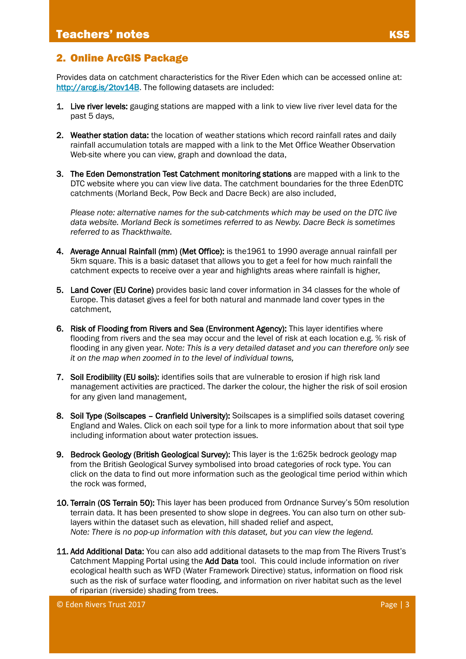#### 2. Online ArcGIS Package

Provides data on catchment characteristics for the River Eden which can be accessed online at: [http://arcg.is/2tov14B.](http://arcg.is/2tov14B) The following datasets are included:

- 1. Live river levels: gauging stations are mapped with a link to view live river level data for the past 5 days,
- 2. Weather station data: the location of weather stations which record rainfall rates and daily rainfall accumulation totals are mapped with a link to the Met Office Weather Observation Web-site where you can view, graph and download the data,
- 3. The Eden Demonstration Test Catchment monitoring stations are mapped with a link to the DTC website where you can view live data. The catchment boundaries for the three EdenDTC catchments (Morland Beck, Pow Beck and Dacre Beck) are also included,

*Please note: alternative names for the sub-catchments which may be used on the DTC live data website. Morland Beck is sometimes referred to as Newby. Dacre Beck is sometimes referred to as Thackthwaite.*

- 4. Average Annual Rainfall (mm) (Met Office): is the1961 to 1990 average annual rainfall per 5km square. This is a basic dataset that allows you to get a feel for how much rainfall the catchment expects to receive over a year and highlights areas where rainfall is higher,
- 5. Land Cover (EU Corine) provides basic land cover information in 34 classes for the whole of Europe. This dataset gives a feel for both natural and manmade land cover types in the catchment,
- 6. Risk of Flooding from Rivers and Sea (Environment Agency): This layer identifies where flooding from rivers and the sea may occur and the level of risk at each location e.g. % risk of flooding in any given year. *Note: This is a very detailed dataset and you can therefore only see it on the map when zoomed in to the level of individual towns,*
- 7. Soil Erodibility (EU soils): identifies soils that are vulnerable to erosion if high risk land management activities are practiced. The darker the colour, the higher the risk of soil erosion for any given land management,
- 8. Soil Type (Soilscapes Cranfield University): Soilscapes is a simplified soils dataset covering England and Wales. Click on each soil type for a link to more information about that soil type including information about water protection issues.
- 9. Bedrock Geology (British Geological Survey): This layer is the 1:625k bedrock geology map from the British Geological Survey symbolised into broad categories of rock type. You can click on the data to find out more information such as the geological time period within which the rock was formed,
- 10. Terrain (OS Terrain 50): This layer has been produced from Ordnance Survey's 50m resolution terrain data. It has been presented to show slope in degrees. You can also turn on other sublayers within the dataset such as elevation, hill shaded relief and aspect, *Note: There is no pop-up information with this dataset, but you can view the legend.*
- 11. Add Additional Data: You can also add additional datasets to the map from The Rivers Trust's Catchment Mapping Portal using the Add Data tool. This could include information on river ecological health such as WFD (Water Framework Directive) status, information on flood risk such as the risk of surface water flooding, and information on river habitat such as the level of riparian (riverside) shading from trees.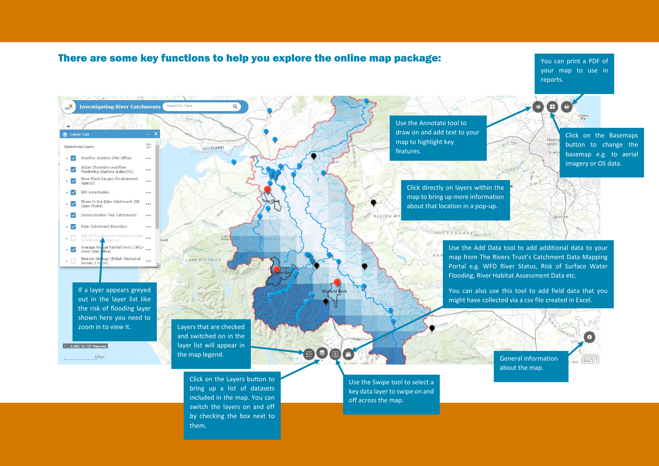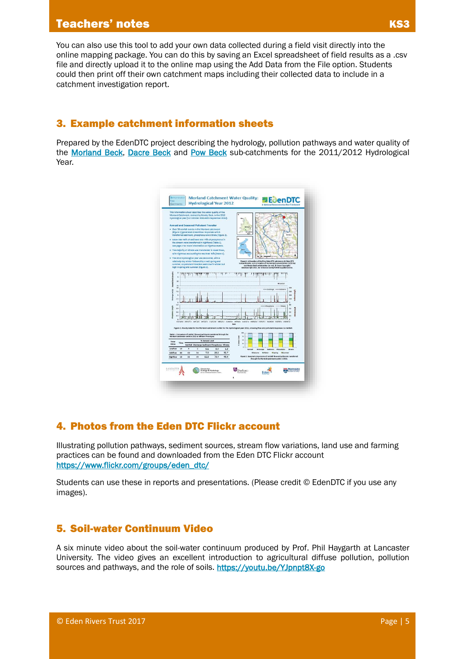# **Teachers' notes KS3**

# 3. Example catchment information sheets

Prepared by the EdenDTC project describing the hydrology, pollution pathways and water quality of the [Morland Beck,](http://www.edendtc.org.uk/wp-content/uploads/2014/05/morland-results-2011-2012v.2_02-05-14_web.pdf) [Dacre Beck](http://www.edendtc.org.uk/wp-content/uploads/2014/05/Dacre-InfoSheet_02-05-14_web.pdf) and [Pow Beck](http://www.edendtc.org.uk/wp-content/uploads/2014/05/Pow-InfoSheet_12-05-14_web.pdf) sub-catchments for the 2011/2012 Hydrological Year.



# 4. Photos from the Eden DTC Flickr account

Illustrating pollution pathways, sediment sources, stream flow variations, land use and farming practices can be found and downloaded from the Eden DTC Flickr account [https://www.flickr.com/groups/eden\\_dtc/](https://www.flickr.com/groups/eden_dtc/)

Students can use these in reports and presentations. (Please credit © EdenDTC if you use any images).

#### 5. Soil-water Continuum Video

A six minute video about the soil-water continuum produced by Prof. Phil Haygarth at Lancaster University. The video gives an excellent introduction to agricultural diffuse pollution, pollution sources and pathways, and the role of soils.<https://youtu.be/YJpnpt8X-go>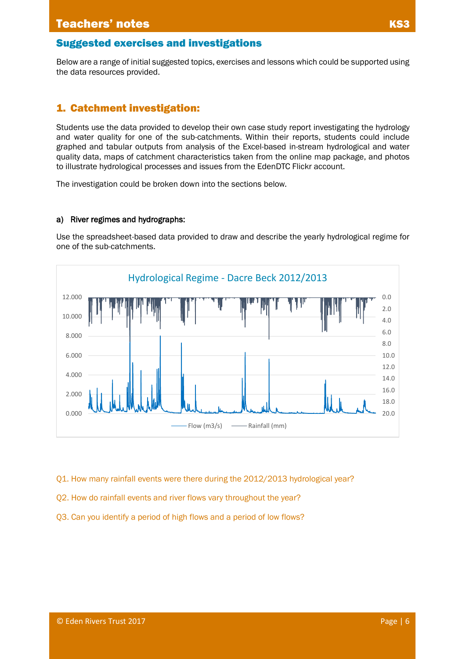Below are a range of initial suggested topics, exercises and lessons which could be supported using the data resources provided.

### 1. Catchment investigation:

Students use the data provided to develop their own case study report investigating the hydrology and water quality for one of the sub-catchments. Within their reports, students could include graphed and tabular outputs from analysis of the Excel-based in-stream hydrological and water quality data, maps of catchment characteristics taken from the online map package, and photos to illustrate hydrological processes and issues from the EdenDTC Flickr account.

The investigation could be broken down into the sections below.

#### a) River regimes and hydrographs:

Use the spreadsheet-based data provided to draw and describe the yearly hydrological regime for one of the sub-catchments.



- Q1. How many rainfall events were there during the 2012/2013 hydrological year?
- Q2. How do rainfall events and river flows vary throughout the year?
- Q3. Can you identify a period of high flows and a period of low flows?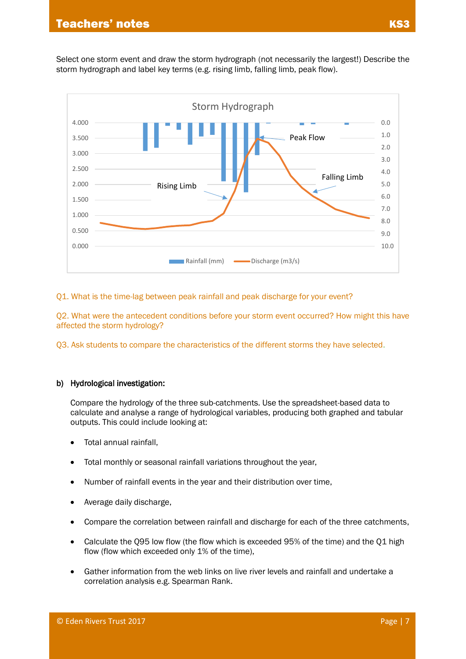Select one storm event and draw the storm hydrograph (not necessarily the largest!) Describe the storm hydrograph and label key terms (e.g. rising limb, falling limb, peak flow).



Q1. What is the time-lag between peak rainfall and peak discharge for your event?

Q2. What were the antecedent conditions before your storm event occurred? How might this have affected the storm hydrology?

Q3. Ask students to compare the characteristics of the different storms they have selected.

#### b) Hydrological investigation:

Compare the hydrology of the three sub-catchments. Use the spreadsheet-based data to calculate and analyse a range of hydrological variables, producing both graphed and tabular outputs. This could include looking at:

- Total annual rainfall,
- Total monthly or seasonal rainfall variations throughout the year,
- Number of rainfall events in the year and their distribution over time,
- Average daily discharge,
- Compare the correlation between rainfall and discharge for each of the three catchments,
- Calculate the Q95 low flow (the flow which is exceeded 95% of the time) and the Q1 high flow (flow which exceeded only 1% of the time),
- Gather information from the web links on live river levels and rainfall and undertake a correlation analysis e.g. Spearman Rank.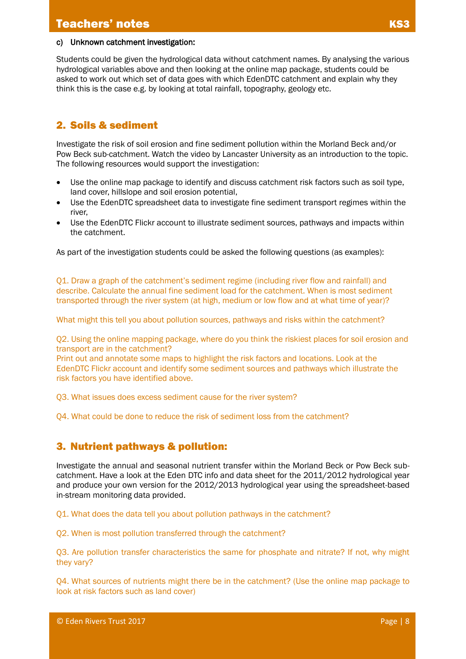#### c) Unknown catchment investigation:

Students could be given the hydrological data without catchment names. By analysing the various hydrological variables above and then looking at the online map package, students could be asked to work out which set of data goes with which EdenDTC catchment and explain why they think this is the case e.g. by looking at total rainfall, topography, geology etc.

# 2. Soils & sediment

Investigate the risk of soil erosion and fine sediment pollution within the Morland Beck and/or Pow Beck sub-catchment. Watch the video by Lancaster University as an introduction to the topic. The following resources would support the investigation:

- Use the online map package to identify and discuss catchment risk factors such as soil type, land cover, hillslope and soil erosion potential,
- Use the EdenDTC spreadsheet data to investigate fine sediment transport regimes within the river,
- Use the EdenDTC Flickr account to illustrate sediment sources, pathways and impacts within the catchment.

As part of the investigation students could be asked the following questions (as examples):

Q1. Draw a graph of the catchment's sediment regime (including river flow and rainfall) and describe. Calculate the annual fine sediment load for the catchment. When is most sediment transported through the river system (at high, medium or low flow and at what time of year)?

What might this tell you about pollution sources, pathways and risks within the catchment?

Q2. Using the online mapping package, where do you think the riskiest places for soil erosion and transport are in the catchment?

Print out and annotate some maps to highlight the risk factors and locations. Look at the EdenDTC Flickr account and identify some sediment sources and pathways which illustrate the risk factors you have identified above.

Q3. What issues does excess sediment cause for the river system?

Q4. What could be done to reduce the risk of sediment loss from the catchment?

# 3. Nutrient pathways & pollution:

Investigate the annual and seasonal nutrient transfer within the Morland Beck or Pow Beck subcatchment. Have a look at the Eden DTC info and data sheet for the 2011/2012 hydrological year and produce your own version for the 2012/2013 hydrological year using the spreadsheet-based in-stream monitoring data provided.

Q1. What does the data tell you about pollution pathways in the catchment?

Q2. When is most pollution transferred through the catchment?

Q3. Are pollution transfer characteristics the same for phosphate and nitrate? If not, why might they vary?

Q4. What sources of nutrients might there be in the catchment? (Use the online map package to look at risk factors such as land cover)